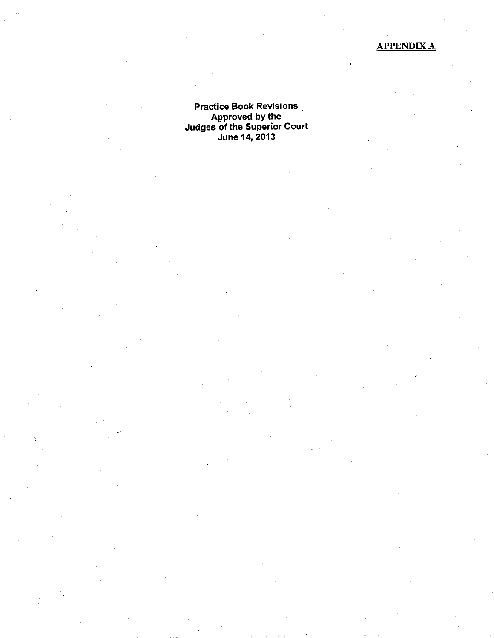# APPENDIXA

Practice Book Revisions Approved bY the Judges of the Superior Court June 14, 2013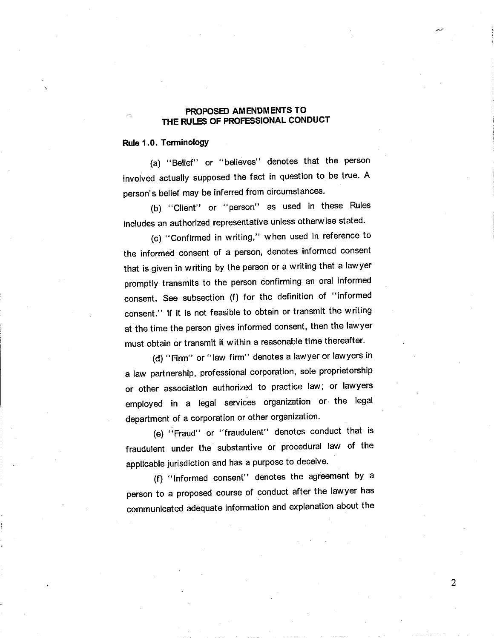## . PROPOSED AMENDMENTS TO THE RULES OF PROFESSIONAL CONDUCT

### Rule 1 .0. TerminologY

(a) "Belief" or "believes" denotes that the person involved actually supposed the fact in question to be true. A person's belief may be inferred from circumstances.

(b) "Client" or "person" as used in these Rules includes an authorized representative unless otherwise stated.

(c) "Confirmed in writing," when used in reference to the informed consent of a person, denotes informed consent that is given in writing by the person or a writing that a lawyer promptly transmits to the person confirming an oral informed consent. See subsection (f) for the definition of "informed consent." lf it is not feasible to obtain or transmit the writing at the time the person gives informed consent, then the lawyer must obtain or transmit it within a reasonable time thereafter.

(d) "Firm" or "law firm" denotes a lawyer or lawyers in a law partnership, professional corporation, sole proprietorship or other association authorized to practice law; or lawyers employed in a legal services organization or the legal department of a corporation or other organization.

(e) "Fraud" or "fraudulent" denotes conduct that is fraudulent under the substantive or procedural law of the applicable jurisdiction and has a purpose to deceive.

(f) "Informed consent" denotes the agreement by a person to a proposed course of conduct after the lawyer has communicated adequate information and explanation about the

 $\overline{2}$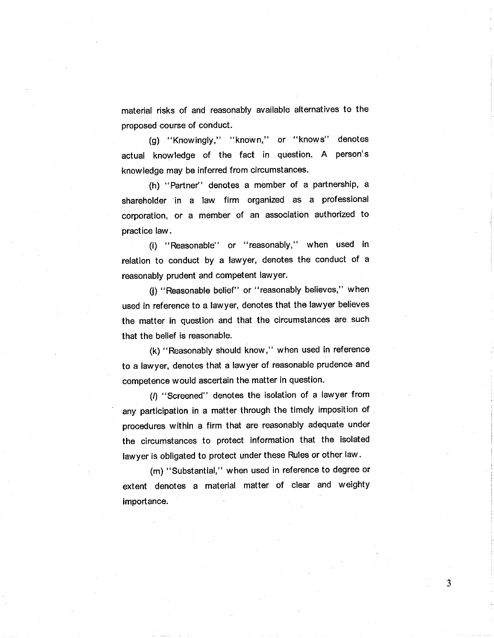material risks of and reasonably available alternatives to the proposed course of conduct.

(g) "Knowingly," "known," or "knows" denotes actual knowledge of the fact in question. A person's knowledge may be inferred from circumstances.

(h) " Partner" denotes a member of a partnership, <sup>a</sup> shareholder in a law firm organized as a professional corporation, or a member of an association authorized to practice law .

(i) " Reasonable" or "reasonably," when used in relation to conduct by a lawyer, denotes the conduct of <sup>a</sup> reasonably prudent and competent lawyer.

(j) "Reasonable belief" or "reasonably believes," when used in reference to a lawyer, denotes that the lawyer believes the matter in question and that the circumstances are such that the belief is reasonable.

(k) "Reasonably should know," when used in reference to a lawyer, denotes that a lawyer of reasonable prudence and competence would ascertain the matter in question.

(I) "Screened" denotes the isolation of a lawyer from any participation in a matter through the timely imposition of procedures within a firm that are reasonably adequate under the circumstances to protect information that the isolated lawyer is obligated to protect under these Rules or other law.

(m) "Substantial," when used in reference to degree or extent denotes a material matter of clear and weighty importance.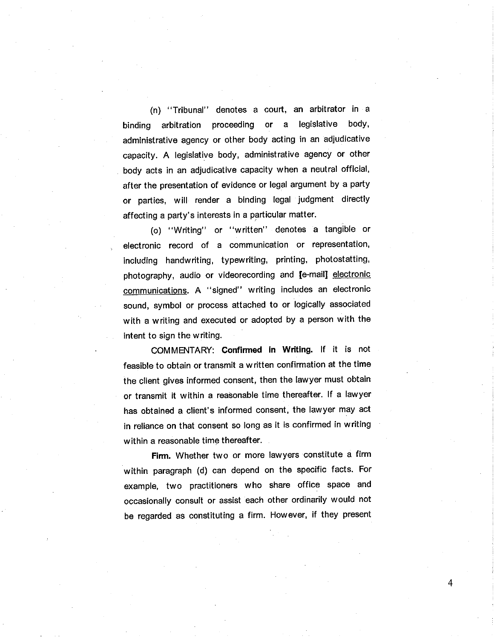(n) "Tribunal" denotes a court, an arbitrator in a binding arbitration proceeding or a legislative body, administrative agency or other body acting in an adjudicative capacity. A legislative body, administrative agency or other body acts in an adjudicative capacity when a neutral official, after the presentation of evidence or legal argument by a party or parties, will render a binding legal judgment directly affecting a party's interests in a particular matter.

(o) "Writing" or "written" denotes a tangible or electronic record of a communication or representation, including handwriting, typewriting, printing, photostatting, photography, audio or videorecording and [e-mail] electronic communications. A "signed" writing includes an electronic sound, symbol or process attached to or logically associated with a writing and executed or adopted by a person with the intent to sign the writing.

COMMENTARY: Confirmed in Writing. If it is not feasible to obtain or transmit a written confirmation at the time the client gives informed consent, then the lawyer must obtain or transmit it within a reasonable time thereafter. lf a lawyer has obtained a client's informed consent, the lawyer may âct in reliance on that consent so long as it is confirmed in writing within a reasonable time thereafter.

Firm. Whether two or more lawyers constitute a firm within paragraph (d) can depend on the specific facts. For example, two practitioners who share office space and occasionally consult or assist each other ordinarily would not be regarded as constituting a firm. However, if they present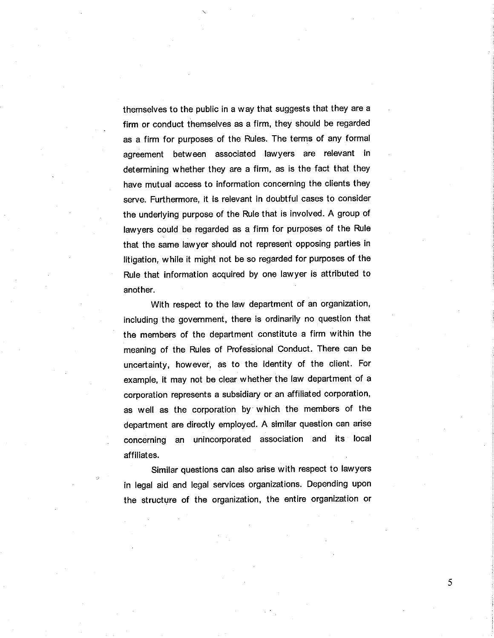themselves to the public in a way that suggests that they are a firm or conduct themselves as a firm, they should be regarded as a firm for purposes of the Rules. The terms of any formal agreement between associated lawyers are relevant in determining whether they are a firm, as is the fact that they have mutual access to information concerning the clients they serve. Furthermore, it is relevant in doubtful cases to consider the underlying purpose of the Rule that is involved. A group of lawyers could be regarded as a firm for purposes of the Rule that the same lawyer should not represent opposing parties in litigation, while it might not be so regarded for purposes of the Rule that information acquired by one lawyer is attributed to another.

With respect to the law department of an organization, including the government, there is ordinarily no question that the members of the department constitute a firm within the meaning of the Rules of Professional Conduct. There can be uncertainty, however, as to the identity of the client. For example, it may not be clear whether the law department of <sup>a</sup> corporation represents a subsidiary or an affiliated corporation, as well as the corporation by which the members of the department are directly employed. A similar question can arise concerning an unincorporated association and its local affiliates.

Similar questions can also arise with respect to lawyers in legal aid and legal services organizations. Depending upon the structure of the organization, the entire organization or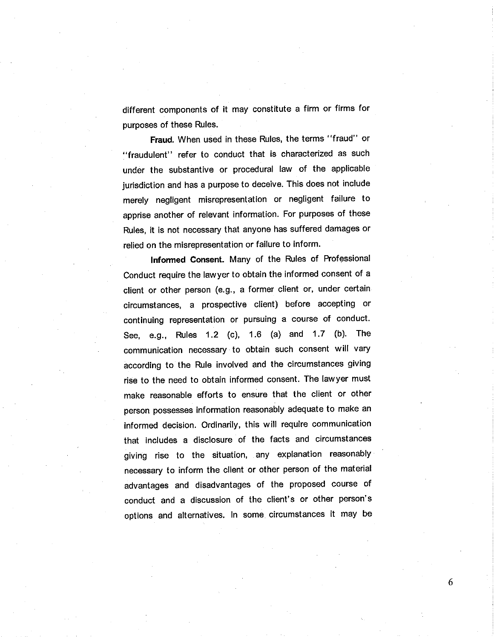different components of it may constitute a firm or firms for purposes of these Rules.

Fraud. When used in these Rules, the terms "fraud" or "fraudulent" refer to conduct that is characterized as such under the substantive or procedural law of the applicable jurisdiction and has a purpose to deceive. This does not include merety negligent misrepresentation or negligent failure to apprise another of relevant information. For purposes of these Rules, it is not necessary that anyone has suffered damages or relied on the misrepresentation or failure to inform.

lnformed Consent. Many of the Rules of Professional Conduct require the lawyer to obtain the informed consent of <sup>a</sup> client or other person (e.g., a former client or, under certain circumstances, a prospective client) before accepting or continuing representation or pursuing a course of conduct. See, e.g., Rules 1.2 (c), 1.6 (a) and 1.7 (b). The communication necessary to obtain such consent will vary according to the Rule involved and the circumstances giving rise to the need to obtain informed consent. The lawyer must make reasonable efforts to ensure that the client or other person possesses information reasonably adequate to make an informed decision. Ordinarily, this will require communication that includes a disclosure of the facts and circumstances giving rise to the situation, any explanation reasonably necessary to inform the client or other person of the material advantages and disadvantages of the proposed course of conduct and a discussion of the client's or other person's options and alternatives, ln some circumstances it may be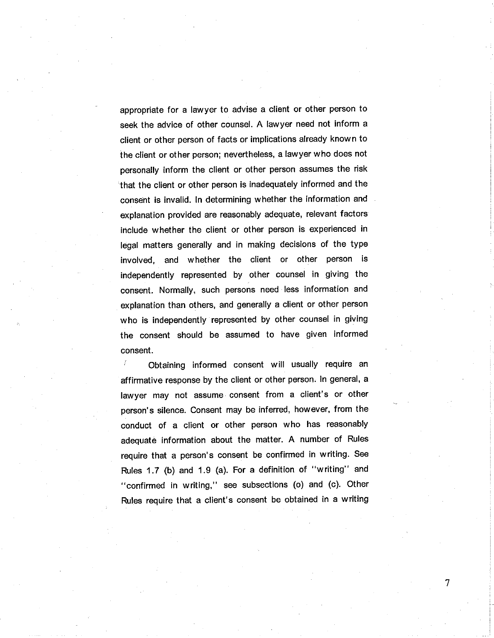appropriate for a lawyer to advise a client or other person to seek the advice of other counsel. A lawyer need not inform a client or other person of facts or implications already known to the client or other person; nevertheless, a lawyer who does not personally inform the client or other person assumes the risk that the client or other person is inadequately informed and the consent is invalid. In determining whether the information and exptanation provided are reasonably adequate, relevant factors include whether the client or other person is experienced in legal matters generally and in making decisions of the type involved, and whether the client or other person is independently represented by other counsel in giving the consent. Normally, such persons need less information and explanation than others, and generally a client or other person who is independently represented by other counsel in giving the consent should be assumed to have given informed consent.

Obtaining informed consent will usually require an affirmative response by the client or other person. ln general, <sup>a</sup> lawyer may not assume consent from a client's or other person's silence. Consent may be inferred, however, from the conduct of a client or other person who has reasonably adequate information about the matter. A number of Rules require that a person's consent be confirmed in writing. See Rules 1.7 (b) and 1.9 (a). For a definition of "writing" and "confirmed in writing," see subsections (o) and (c). Other Rules require that a client's consent be obtained in a writing

 $\overline{7}$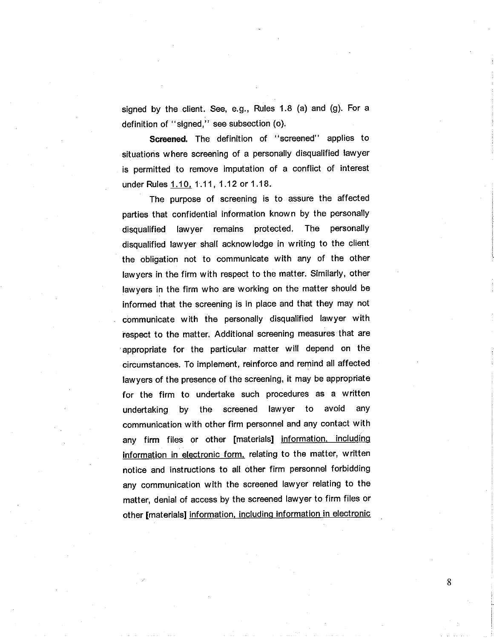signed by the client. See, e.g., Rules 1.8 (a) and (g). For a definition of "signed," see subsection (o).

Screened. The definition of "screened" applies to situations where screening of a personally disqualified lawyer is permitted to remove imputation of a conflict of interest under Rules 1.10, 1.11, 1.12 or 1.18.

The purpose of screening is to assure the affected parties that confidential information known by the personally disqualified lawyer remains protected. The personally disqualified lawyer shall acknowledge in writing to the client the obligation not to communicate with any of the other lawyers in the firm with respect to the matter. Similarly, other lawyers in the firm who are working on the matter should be informed that the screening is in place and that they may not communicate with the personally disqualified lawyer with respect to the matter. Additional screening measures that are appropriate for the particular matter will depend on the circumstances. To implement, reinforce and remind all affected lawyers of the presence of the screening, it may be appropriate for the firm to undertake such procedures as a written undertaking by the screened lawyer to avoid any communication with other firm personnel and any contact with any firm files or other [materials] information, including information in electronic form, relating to the matter, written notice and instructions to all other firm personnel forbidding any communication with the screened lawyer relating to the matter, denial of access by the screened lawyer to firm files or other [materials] information. includinq information in electronic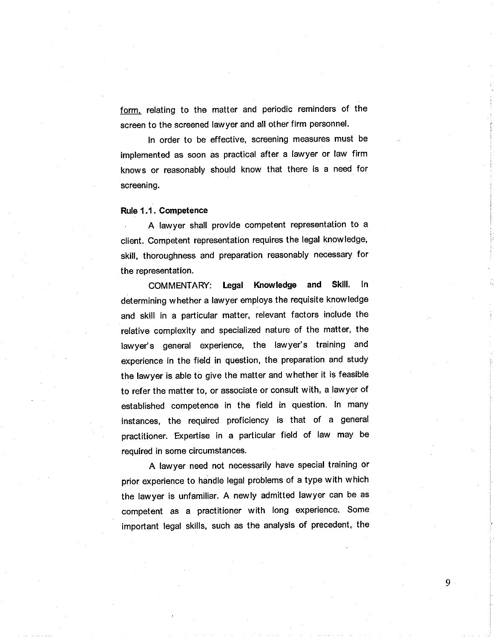form. relating to the matter and periodic reminders of the screen to the screened lawyer and all other firm personnel.

ln order to be effective, screening measures must be implemented as soon as practical after a lawyer or law firm knows or reasonably should know that there is a need for screening.

#### Rule 1,1 . Gompetence

A lawyer shall provide competent representation to <sup>a</sup> client. Competent representation requires the legal knowledge, skill, thoroughness and preparation reasonably necessary for the representation.

COMMENTARY: legal Knowledge and Skill. ln determining whether a lawyer employs the requisite knowledge and skill in a particular matter, relevant factors include the relative complexity and specialized nature of the matter, the lawyer's general experience, the lawyer's training and experience in the field in question, the preparation and study the lawyer is able to give the matter and whether it is feasible to refer the matter to, or associate or consult with, a lawyer of established competence in the field in question. ln many instances, the required proficiency is that of a general practitioner. Expertise in a particular field of law may be required in some circumstances.

A lawyer need not necessarily have special training or prior experience to handle legal problems of a type with which the lawyer is unfamiliar. A newly admitted lawyer can be as competent as a practitioner with long experience. Some important legal skills, such as the analysis of precedent, the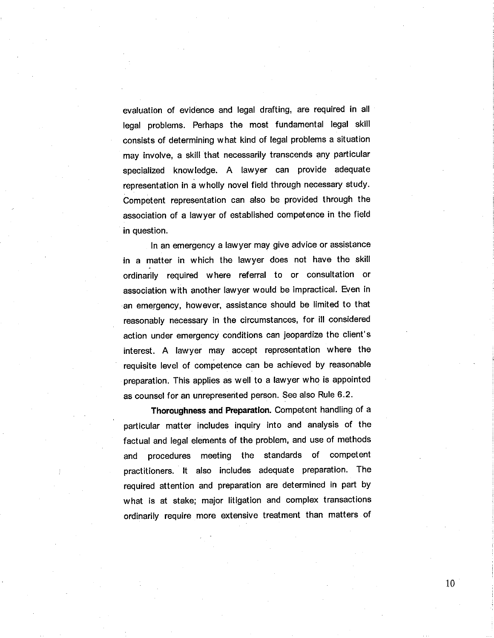evaluation of evidence and legal drafting, are required in all legal problems. Perhaps the most fundamental legal skill consists of determining what kind of legal problems a situation may involve, a skill that necessarily transcends any particular specialized knowledge. A lawyer can provide adequate representation in a wholly novel field through necessary study. Competent representation can also be provided through the association of a lawyer of established competence in the field in question.

In an emergency a lawyer may give advice or assistance in a matter in which the lawyer does not have the skill ordinarily required where referral to or consultation or association with another lawyer would be impractical. Even in an emergency, however, assistance should be limited to that reasonably necessary in the circumstances, for ill considered action under emergency conditions can jeopardize the client's interest. A lawyer may accept representation where the requisite level of comþetence can be achieved by reasonable preparation. This applies as well to a lawyer who is appointed as counsel for an unrepresented person. See also Rule 6.2.

Thoroughness and Preparation. Competent handling of a particular matter includes inquiry into and analysis of the factual and legal elements of the problem, and use of methods and procedures meeting the standards of competent practitioners. lt also includes adequate preparation. The required attention and preparation are determined in part by what is at stake; major litigation and complex transactions ordinarily require more extensive treatment than matters of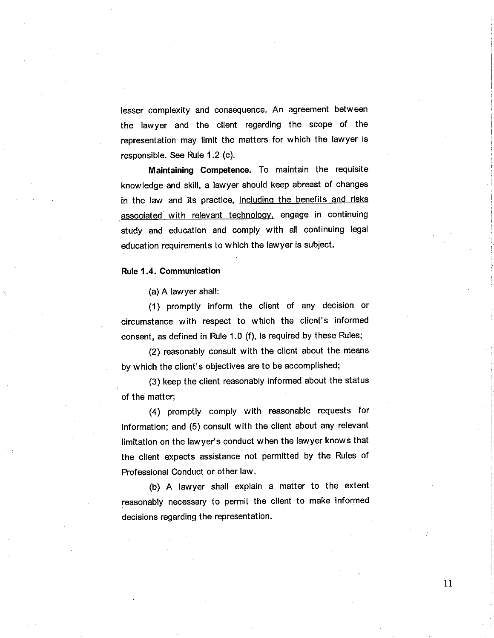lesser complexity and consequence. An agreement between the lawyer and the client regarding the scope of the representation may limit the matters for which the lawyer is responsible. See Rule 1.2 (c).

Maintaining Competence. To maintain the requisite knowledge and skill, a lawyer should keep abreast of changes in the law and its practice, including the benefits and risks associated with relevant technology, engage in continuing study and education and comply with all continuing legal education requirements to which the lawyer is subject.

#### Rule I .4. Communication

(a) A lawyer shall:

(1 ) promptly inform the client of any decision or circumstance with respect to which the client's informed consent, as defined in Rule 1.0 (f), is required by these Rules;

(2) reasonably consult with the client about the means by which the client's obiectives are to be accomplished;

(3) keep the client reasonably informed about the status of the matter;

(4) promptly comply with reasonable requests for information; and (5) consult with the client about any relevant limitation on the lawyer's conduot when the lawyer knows that the client expects assistance not permitted by the Rules of Professional Conduct or other law.

(b) A lawyer shall explain a matter to the extent reasonably necessary to permit the client to make informed decisions regarding the representation.

I1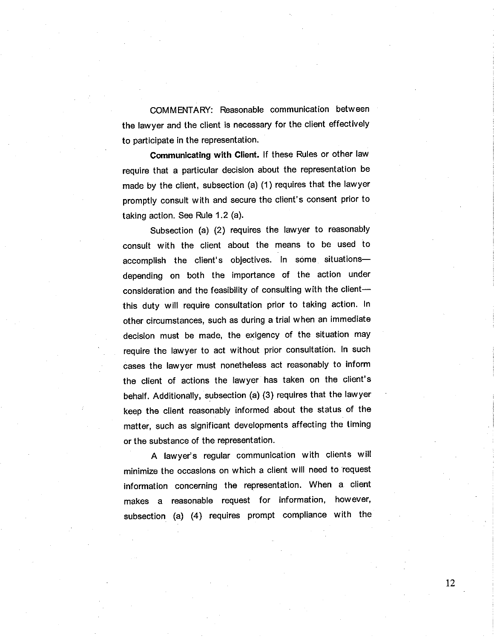COMMENTARY: Reasonable communication between the lawyer and the client is necessary for the client effectively to participate in the representation.

Communicating with Client. If these Rules or other law require that a particular decision about the representation be made by the client, subsection (a) (1) requires that the lawyer promptly consult with and secure the client's consent prior to taking action. See Rule 1.2 (a).

Subsection (a) (2) requires the lawyer to reasonably consult with the client about the means to be used to accomplish the client's objectives. In some situationsdepending on both the importance of the action under consideration and the feasibility of consulting with the clientthis duty will require consultation prior to taking action. ln other circumstances, such as during a trial when an immediate decision must be made, the exigency of the situation may require the lawyer to act without prior consultation. ln such cases the lawyer must nonetheless act reasonably to inform the client of actions the lawyer has taken on the client's behalf. Additionally, subsection (a) (3) requires that the lawyer keep the client reasonably informed about the status of the matter, such as significant developments affecting the timing or the substance of the representation.

A lawyer's regular communication with clients will minimize the occasions on which a client will need to request information concerning the representation. When a client makes a reasonable request for information, however, subsection (a) (4) requires prompt compliance with the

t2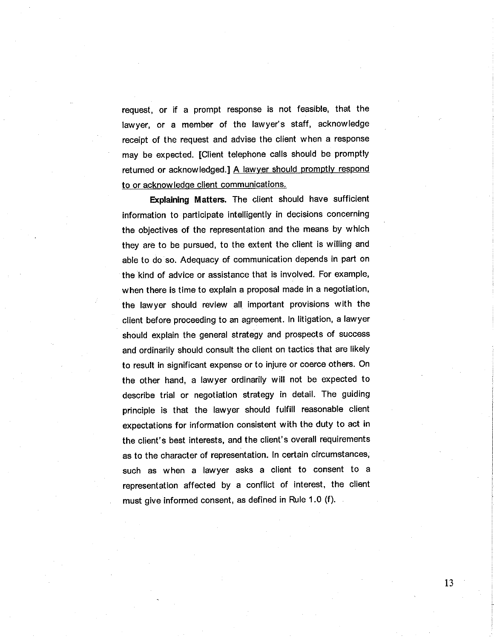request, or if a prompt response is not feasible, that the lawyer, or a member of the lawyer's staff, acknowledge receipt of the request and advise the client when a response may be expected. [Client telephone calls should be promptly returned or acknowledged.] A lawyer should promptly respond to or acknowledqe client communications.

Explaining Matters. The client should have sufficient information to participate intelligently in decisions concerning the objectives of the representation and the means by which they are to be pursued, to the extent the client is willing and able to do so. Adequacy of communication depends in part on the kind of advice or assistance that is involved. For example, when there is time to explain a proposal made in a negotiation, the lawyer should review all important provisions with the client before proceeding to an agreement. ln litigation, a lawyer should explain the general strategy and prospects of success and ordinarily should consult the client on tactics that are likely to result in significant expense or to injure or coerce others. On the other hand, a lawyer ordinarily will not be expected to describe trial or negotiation strategy in detail. The guiding principle is that the lawyer should fulfill reasonable client expectations for information consistent with the duty to act in the client's best interests, and the client's overall requirements as to the character of representation. ln certain circumstances, such as when a lawyer asks a client to consent to <sup>a</sup> representation affected by a conflict of interest, the client must give informed consent, as defined in Rule 1.0 (f).

L3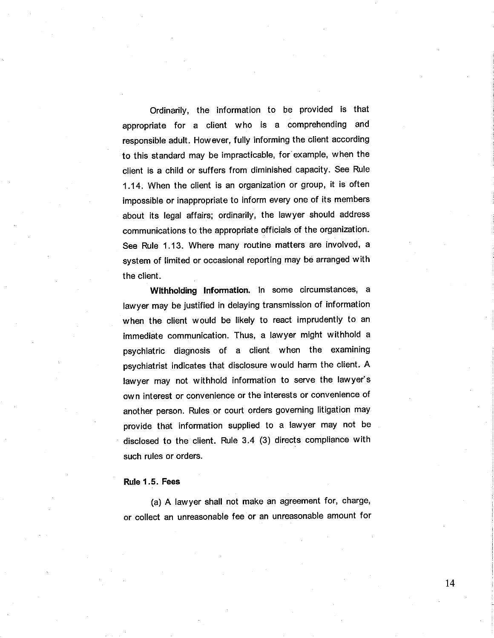Ordinarily, the information to be provided is that appropriate for a client who is a comprehending and responsible adult. However, fully informing the client according to this standard may be impracticable, for example, when the client is a child or suffers from diminished capacity. See Rule 1.14. When the client is an organization or group, it is often impossible or inappropriate to inform every one of its members about its legal affairs; ordinarily, the lawyer should address communications to the appropriate officials of the organization. See Rule 1.13. Where many routine matters are involved, a system of limited or occasional reporting may be arranged with the client.

Withholding Information. In some circumstances, a lawyer may be justified in delaying transmission of information when the client would be likely to react imprudently to an immediate communication. Thus, a lawyer might withhold <sup>a</sup> psychiatric diagnosis of a client when the examining psychiatrist indicates that disclosure would harm the client. A lawyer may not withhold information to serve the lawyer's own interest or convenience or the interests or convenience of another person. Rules or court orders governing litigation may provide that information supplied to a lawyer may not be disclosed to the client. Rule 3.4 (3) directs compliance with such rules or orders.

#### Rule I .5. Fees

(a) A lawyer shall not make an agreement for, charge, or collect an unreasonable fee or an unreasonable amount for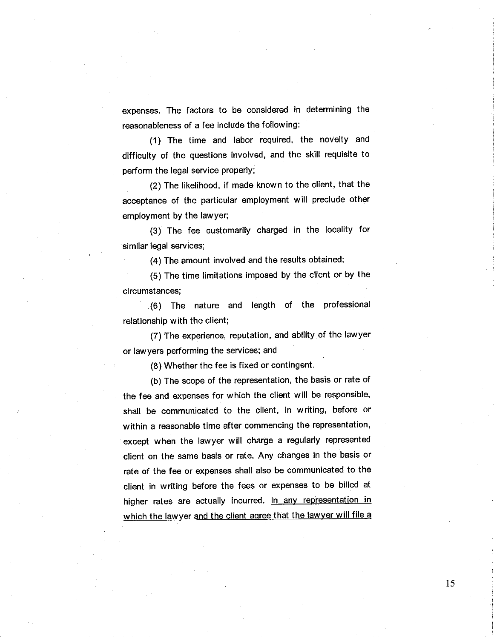expenses. The factors to be considered in determining the reasonableness of a fee include the following:

(1) The time and labor required, the novelty and difficulty of the questions involved, and the skill requisite to perform the legal service properly;

(2) The likelihood, if made known to the client, that the acceptance of the particular employment will preclude other employment by the lawyer;

(3) The fee customarily charged in the locality for similar legal services;

(4) The amount involved and the results obtained;

(5) The time limitations imposed by the client or by the circumstances;

(6) The nature and length of the professional relationship with the client;

(7) The experience, reputation, and ability of the lawyer or lawyers performing the services; and

(8) Whether the fee is fixed or contingent.

(b) The scope of the representation, the basis or rate of the fee and expenses for which the client will be responsible, shall be communicated to the client, in writing, before or within a reasonable time after commencing the representation, except when the lawyer will charge a regularly represented client on the same basis or rate. Any changes in the basis or rate of the fee or expenses shall also be communicated to the client in writing before the fees or expenses to be billed at higher rates are actually incurred. In any representation in which the lawyer and the client agree that the lawyer will file a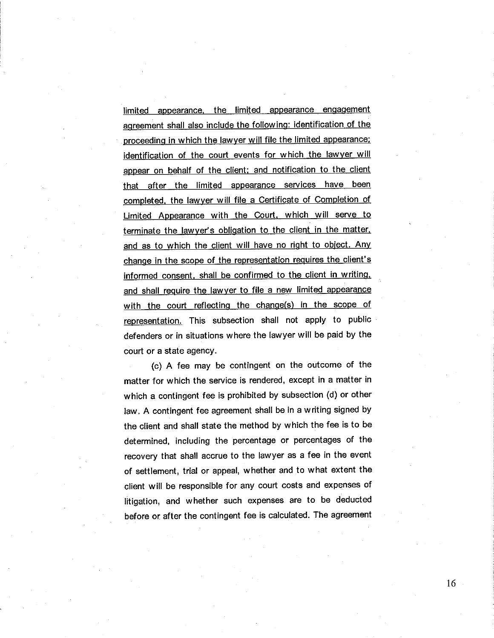limited appearance, the limited appearance engagement aqreement shall also include the followinq: identification of the proceeding in which the lawyer will file the limited appearance; identification of the court events for which the lawver will appear on behalf of the client; and notification to the client that after the limited appearance services have been comoleted. the lawyer will file a Certificate of Completion of Limited Appearance with the Court, which will serve to terminate the lawyer's obligation to the client in the matter. and as to which the client will have no right to object. Any change in the scope of the representation requires the client's informed consent, shall be confirmed to the client in writinq. and shall require the lawver to file a new limited appearance with the court reflecting the change(s) in the scope of representation. This subsection shall not apply to public defenders or in situations where the lawyer will be paid by the court or a state agency.

(c) A fee may be contingent on the outcome of the matter for which the service is rendered, except in a matter in which a contingent fee is prohibited by subsection (d) or other law. A contingent fee agreement shall be in a writing signed by the client and shall state the method by which the fee is to be determined, including the percentage or percentages of the recovery that shall accrue to the lawyer as a fee in the event of settlement, trial or appeal, whether and to what extent the client will be responsible for any court costs and expenses of litigation, and whether such expenses are to be deducted before or after the contingent fee is calculated. The agreement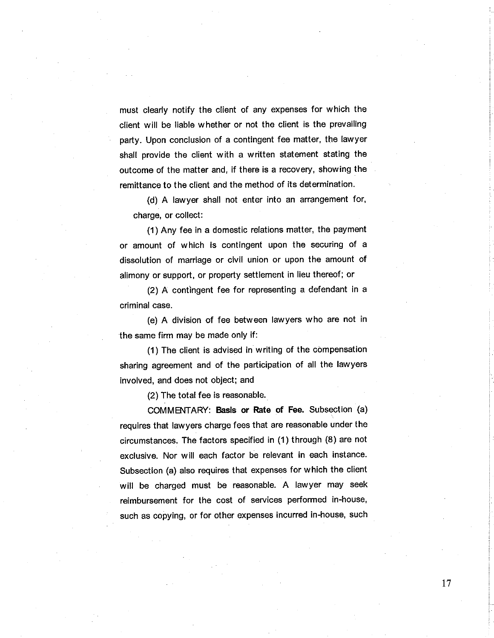must clearly notify the client of any expenses for which the client will be liable whether or not the client is the prevailing party. Upon conclusion of a contingent fee matter, the lawyer shall provide the client with a written statement stating the outcome of the matter and, if there is a recovery, showing the remittance to the client and the method of its determination.

(d) A lawyer shall not enter into an arrangement for, charge, or collect:

(1) Any fee in a domestic relations matter, the payment or amount of which is contingent upon the securing of <sup>a</sup> dissolution of marriage or civil union or upon the amount of alimony or support, or property settlement in lieu thereof ; or

(2) A contingent fee for representing a defendant in a criminal case.

(e) A division of fee between lawyers who are not in the same firm may be made only if :

 $(1)$  The client is advised in writing of the compensation sharing agreement and of the participation of all the lawyers involved, and does not object; and

(2) The total fee is reasonable.

COMMENTARY: Basis or Rate of Fee. Subsection (a) requires that lawyers charge fees that are reasonable under the circumstances. The factors specified in (1) through (8) are not exclusive. Nor will each factor be relevant in each instance. Subsection (a) also requires that expenses for which the client will be charged must be reasonable. A lawyer may seek reimbursement for the cost of services performed in-house, such as copying, or for other expenses incurred in-house, such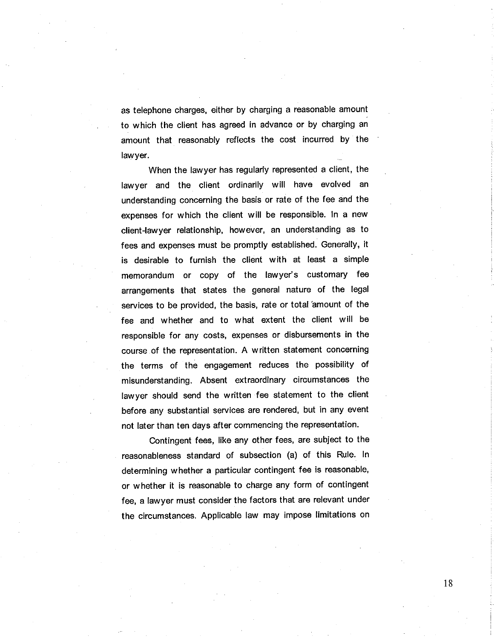as telephone charges, either by charging a reasonable amount to which the client has agreed in advance or by charging an amount that reasonably reflects the cost incurred by the lawyer.

When the lawyer has regularly represented a client, the lawyer and the client ordinarily will have evolved an understanding concerning the basis or rate of the fee and the expenses for which the client will be responsible. ln a new client-lawyer relationship, however, an understanding as to fees and expenses must be promptly established. Generally, it is desirable to furnish the client with at least a simple memorandum or copy of the lawyer's customary fee arrangements that states the general nature of the legal services to be provided, the basis, rate or total amount of the fee and whether and to what extent the client will be responsible for any costs, expenses or disbursements in the course of the representation. A written statement concerning the terms of the engagement reduces the possibility of misunderstanding. Absent extraordinary circumstances the lawyer should send the written fee statement to the client before any substantial services are rendered, but in any event not later than ten days after commencing the representation.

Contingent fees, like any other fees, are subject to the reasonableness standard of subsection (a) of this Rule. ln determining whether a particular contingent fee is reasonable, or whether it is reasonable to charge any form of contingent fee, a lawyer must consider the factors that are relevant under the circumstances. Applicable law may impose limitations on

l8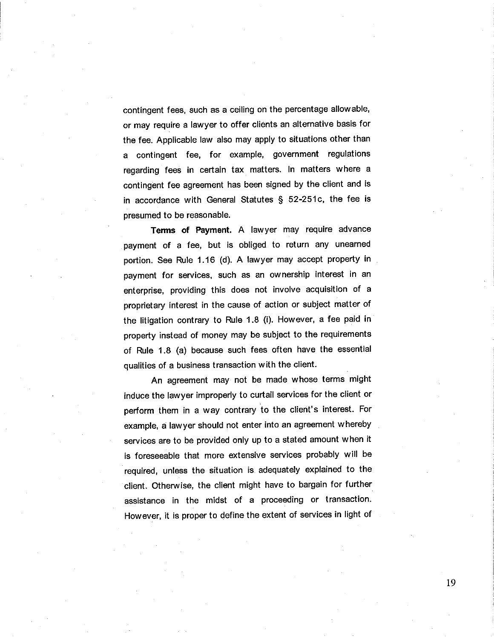contingent fees, such as a ceiling on the percentage allowable, or may require a lawyer to offer clients an alternative basis for the fee. Applicable law also may apply to situations other than a contingent fee, for example, government regulations regarding fees in certain tax matters. ln matters where <sup>a</sup> contingent fee agreement has been signed by the client and is in accordance with General Statutes S 52-251c, the fee is presumed to be reasonable.

Terms of Payment. A lawyer may require advance payment of a fee, but is obliged io return any unearned portion. See Rule 1.16 (d). A lawyer may accept property in payment for services, such as an ownership interest in an enterprise, providing this does not involve acquisition of <sup>a</sup> proprietary interest in the cause of action or subject matter of the litigation contrary to Rule 1.8 (i). However, a fee paid in property instead of money may be subject to the requirements of Rule 1.8 (a) because such fees often have the essential qualities of a business transaction with the client.

An agreement may not be made whose terms might induce the lawyer improperly to curtail services for the client or perform them in a way contrary to the client's interest. For example, a lawyer should not enter into an agreement whereby services are to be provided only up to a stated amount when it is foreseeable that more extensive services probably will be required, unless the situation is adequately explained to the client. Otherwise, the client might have to bargain for further assistance in the midst of a proceeding or transaction. However, it is proper to define the extent of services in light of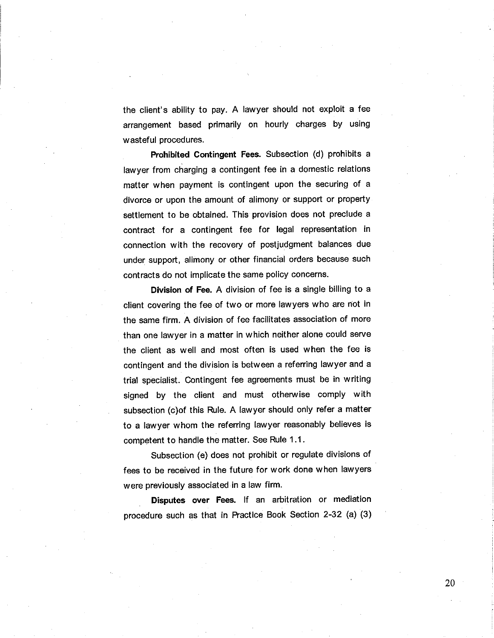the client's ability to pay. A lawyer should not exploit a fee arrangement based primarily on hourly charges by using wasteful procedures.

Prohibited Contingent Fees. Subsection (d) prohibits <sup>a</sup> lawyer from charging a contingent fee in a domestic relations matter when payment is contingent upon the securing of <sup>a</sup> divorce or upon the amount of alimony or support or property settlement to be obtained. This provision does not preclude a contract for a contingent fee for legal representation in connection with the recovery of postjudgment balances due under support, alimony or other financial orders because such contracts do not implicate the same policy concerns.

Division of Fee. A division of fee is a single billing to <sup>a</sup> client covering the fee of two or more lawyers who are not in the same firm. A division of fee facilitates association of more than one lawyer in a matter in which neither alone could serve the client as well and most often is used when the fee is contingent and the division is between a referring lawyer and a trial specialist. Contingent fee agreements must be in writing signed by the client and must otherwise comply with subsection (c)of this Rule. A lawyer should only refer a matter to a lawyer whom the referring lawyer reasonably believes is competent to handle the matter. See Rule 1.1.

Subsection (e) does not prohibit or regulate divisions of fees to be received in the future for work done when lawyers were previously associated in a law firm.

Disputes over Fees. lf an arbitration or mediation procedure such as that in Practice Book Section 2-32 (a) (3)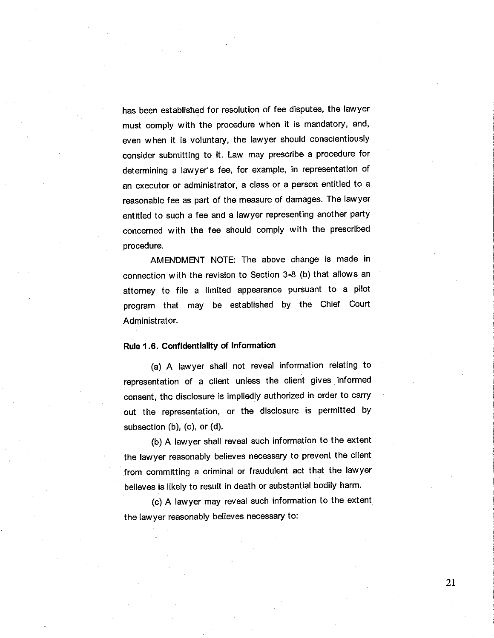has been established for resolution of fee disputes, the lawyer must comply with the procedure when it is mandatory, and, even when it is voluntary, the lawyer should conscientiously consider submitting to it. Law may prescribe a procedure for determining a lawyer's fee, for example, in representation of an executor or administrator, a class or a person entitled to <sup>a</sup> reasonable fee as part of the measure of damages. The lawyer entitled to such a fee and a lawyer representing another party concerned with the fee should comply with the prescribed procedure.

AMENDMENT NOTE: The above change is made in connection with the revision to Section 3-8 (b) that allows an attorney to file a limited appearance pursuant to a pilot program that may be established by the Chief Court Administrator.

#### Rule I .6. Gonfidentiality of lnformation

(a) A lawyer shall not reveal information relating to representation of a client unless the client gives informed consent, the disclosure is impliedly authorized in order to carry out the representation, or the disclosure is permitted by subsection (b), (c), or (d).

(b) A lawyer shall reveal such information to the extent the lawyer reasonably believes necessary to prevent the client from committing a criminal or fraudulent act that the lawyer believes is likely to result in death or substantial bodily harm.

(c) A lawyer may reveal such information to the extent the lawyer reasonably believes necessary to:

2l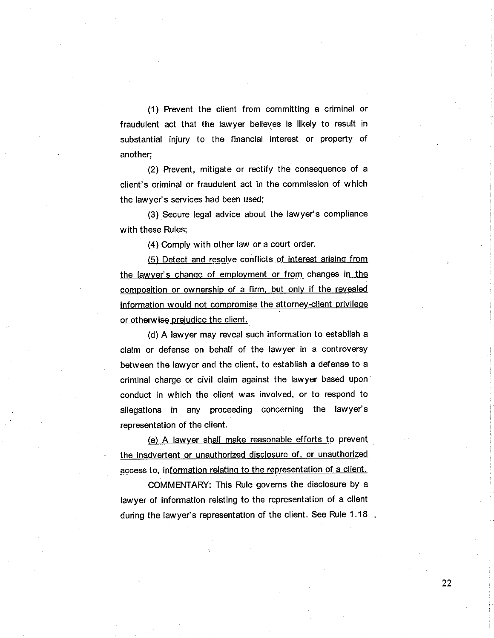$(1)$  Prevent the client from committing a criminal or fraudulent act that the lawyer believes is likely to result in substantial injury to the financial interest or property of another;

(2) Prevent, mitigate or rectify the consequence of <sup>a</sup> client's criminal or fraudulent act in the commission of which the lawyer's services had been used;

(3) Secure legal advice about the lawyer's compliance with these Rules;

(4) Comply with other law or a court order.

(5) Detect and resolve conflicts of interest arising from the lawver's chanqe of employment or from chanqes in the composition or ownership of a firm, but only if the revealed information would not compromise the attorney-client privilege or otherwise preiudice the client.

(d) A lawyer may reveal such information to establish a claim or defense on behalf of the lawyer in a controversy between the lawyer and the client, to establish a defense to a criminal charge or civil claim against the lawyer based upon conduct in which the client was involved, or to respond to allegations in any proceeding concerning the lawyer's representation of the client.

(e) A lawver shall make reasonable the inadvertent or unauthorized disclosure of, or unauthorized access to, information relating to the representation of a client.

COMMENTARY: This Rule governs the disclosure by a lawyer of information relating to the representation of a client during the lawyer's representation of the client. See Rule  $1.18$ .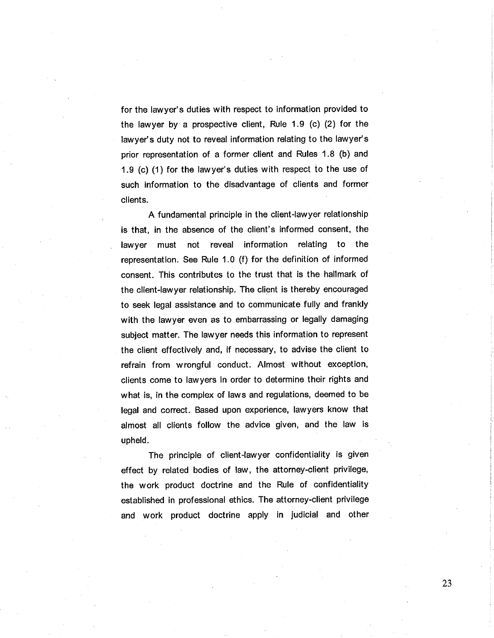for the lawyer's duties with respect to information provided to the lawyer by a prospective client, Rule 1.9 (c) (2) for the lawyer's duty not to reveal information relating to the lawyer's prior representation of a former client and Rules 1.8 (b) and 1.9 (c) (1) for the lawyer's duties with respect to the use of such information to the disadvantage of clients and former clients.

A fundamental principle in the client-lawyer relationship is that, in the absence of the client's informed consent, the lawyer must not reveal information relating to the representation. See Rule 1.0 (f) for the definition of informed consent. This contributes to the trust that is the hallmark of the client-lawyer relationship. The client is thereby encouraged to seek legal assistance and to communicate fully and frankly with the lawyer even as to embarrassing or legally damaging subject matter. The lawyer needs this information to represent the client effectively and, if necessary, to advise the client to refrain from wrongful conduct. Almost without exception, clients come to lawyers in order to determine their rights and what is, in the complex of laws and regulations, deemed to be legal and correct. Based upon experience, lawyers know that almost all clients follow the advice given, and the law is upheld.

The principle of client-lawyer confidentiality is given effect by related bodies of law, the attorney-client privilege, the work product doctrine and the Rule of confidentiality established in professional ethics. The attorney-client privilege and work product doctrine apply in judicial and other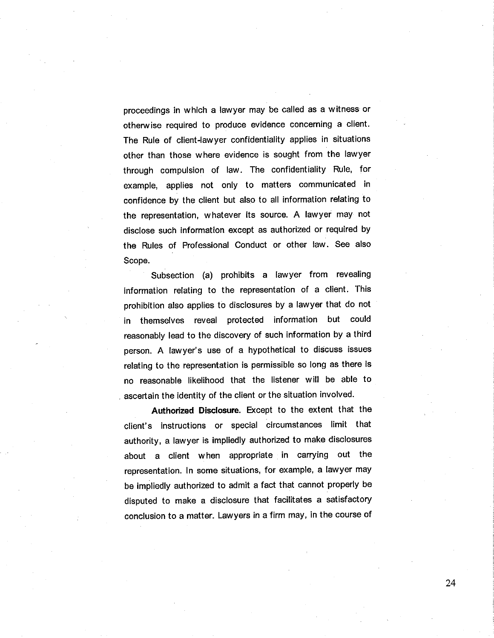proceedings in which a lawyer may be called as a witness or otherwise required to produce evidence concerning a client. The Rule of client-lawyer confidentiality applies in situations other than those where evidence is sought from the lawyer through compulsion of law. The confidentiality Rule, for example, applies not only to matters communicated in confidence by the client but also to all information relating to the representation, whatever its source. A lawyer may not disclose such information except as authorized or required by the Rules of Professional Conduct or other law. See âlso Scope.

Subsection (a) prohibits a lawyer from revealing information relating to the representation of a client. This prohibition also applies to disclosures by a lawyer that do not in themselves reveal protected information but could reasonably lead to the discovery of such information by a third person. A lawyer's use of a hypothetical to discuss issues relating to the representation is permissible so long as there is no reasonable likelihood that the listener will be able to ascertain the identity of the client or the situation involved.

Authorized Disclosure. Except to the extent that the client's instructions or special circumstances limit that authority, a lawyer is impliedly authorized to make disclosures about a client when appropriate in carrying out the representation. ln some situations, for example, a lawyer may be impliedly authorized to admit a fact that cannot properly be disputed to make a disclosure that facilitates a satisfactory conclusion to a matter. Lawyers in a firm may, in the course of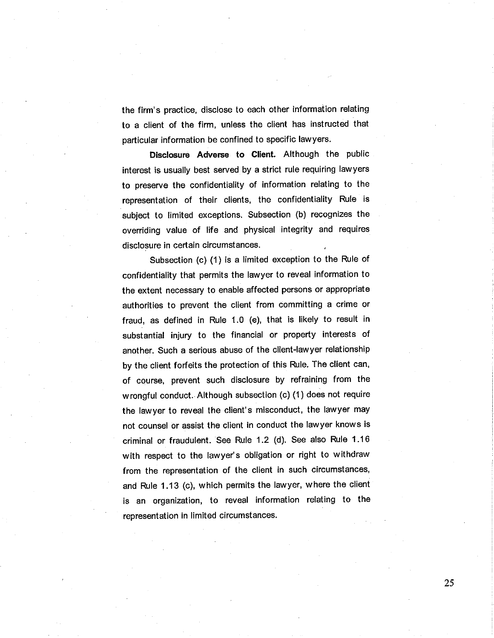the firm's practice, disclose to each other information relating to a client of the firm, unless the client has instructed that particular information be confined to specific lawyers.

Disclosure Adverse to Clíent. Although the public interest is usually best served by a strict rule requiring lawyers to preserve the confidentiality of information relating to the representation of their clients, the confidentiality Rule is subject to limited exceptions. Subsection (b) recognizes the overriding value of life and physical integrity and requires disclosure in certain circumstances.

Subsection (c) (1) is a limited exception to the Rule of confidentiality that permits the lawyer to reveal information to the extent necessary to enable affected persons or appropriate authorities to prevent the client from committing a crime or fraud, as defined in Rule 1.0 (e), that is likely to result in substantial injury to the financial or property interests of another. Such a serious abuse of the client-lawyer relationship by the client forfeits the protection of this Rule. The client can, of course, prevent such disclosure by refraining from the wrongful conduct. Although subsection (c) (1 ) does not require the lawyer to reveal the client's misconduct, the lawyer may not counsel or assist the client in conduct the lawyer knows is criminal or fraudulent. See Rule 1.2 (d). See also Rule 1.16 with respect to the lawyer's obligation or right to withdraw from the representation of the client in such circumstances, and Rule 1.13 (c), which permits the lawyer, where the client is an organization, to reveal information relating to the representation in limited circumstances.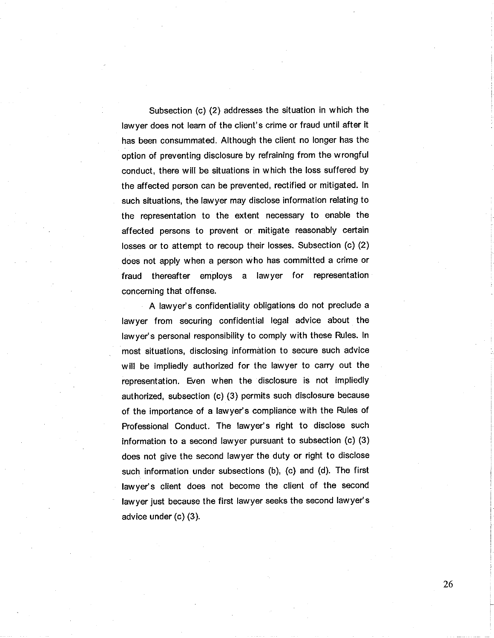Subsection (c) (2) addresses the situation in which the lawyer does not learn of the client's crime or fraud until after it has been consummated. Although the client no longer has the option of preventing disclosure by refraining from the wrongful conduct, there will be situations in which the loss suffered by the affected person can be prevented, rectified or mitigated. ln such situations, the lawyer may disclose information relating to the representation to the extent necessary to enable the affected persons to prevent or mitigate reasonably certain losses or to attempt to recoup their losses. Subsection (c) (2) does not apply when a person who has committed a crime or fraud thereafter employs a lawyer for representation concerning that offense.

A lawyer's confidentiality obligations do not preclude a lawyer from securing confidential legal advice about the lawyer's personal responsibility to comply with these Rules. ln most situations, disclosing information to secure such advice will be impliedly authorized for the lawyer to carry out the representation. Even when the disclosure is not impliedly authorized, subsection (c) (3) permits such disclosure because of the importance of a lawyer's compliance with the Rules of Professional Conduct. The lawyer's right to disclose such information to a second lawyer pursuant to subsection (c) (3) does not give the second lawyer the duty or right to disclose such information under subsections (b), (c) and (d). The first lawyer's client does not become the client of the second lawyer just because the first lawyer seeks the second lawyer's advice under (c) (3).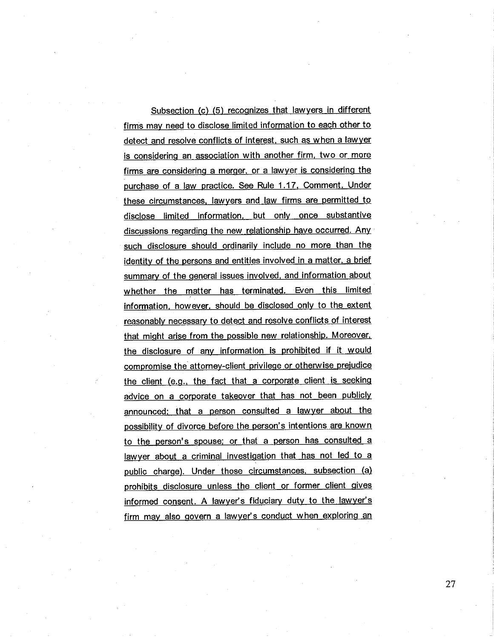Subsection (c) (5) recognizes that lawyers in different firms mav need to disclose limited information to each other to detect and resolve conflicts of interest, such as when a lawyer is considerinq an association with another firm, two or more firms are considering a merger, or a lawyer is considering the purchase of a law oractice. See Rule 1.17. Comment. Under these circumstances, lawyers and law firms are permitted to disclose limited information, but only once substantive discussions regarding the new relationship have occurred. Any such disclosure should ordinarily include no more than the identity of the persons and entities involved in a matter, a brief summary of the general issues involved, and information about whether the matter has terminated. Even this limited information. however, should be disclosed onlv to the extent reasonably necessary to detect and resolve conflicts of interest that might arise from the possible new relationship. Moreover, the disclosure of any information is prohibited if it would compromise the attorney-client privilege or otherwise prejudice the client (e.g., the fact that a corporate client is seeking advice on a corporate takeover that has not been publicly announced: that a person consulted a lawyer about the possibility of divorce before the person's intentions are known to the person's spouse; or that a person has consulted a lawyer about a criminal investigation that has not led to a public charge). Under those circumstances. subsection (a) prohibits disclosure unless the client or former client gives informed consent. A lawyer's fiduciary duty to the lawyer's firm may also govern a lawyer's conduct when exploring an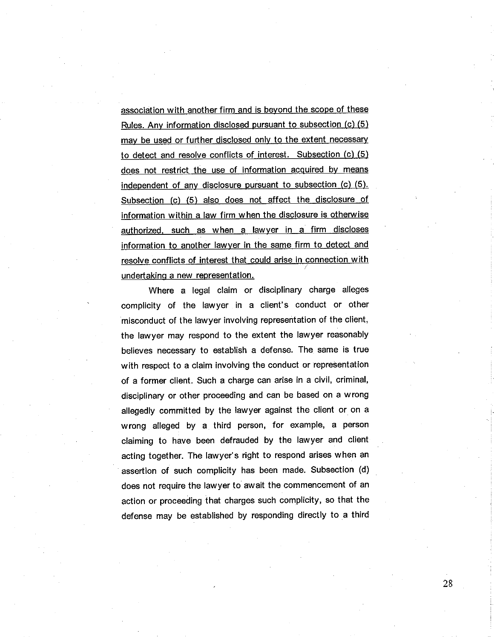association with another firm and is beyond the scope of these Rules. Anv information disclosed oursuant to subsection (c) (5) may be used or further disclosed only to the extent necessary to detect and resolve conflicts of interest. Subsection (c) (5) does not restrict the use of information acquired by means independent of any disclosure pursuant to subsection  $(c)$   $(5)$ . Subsection (c) (5) also does not affect the disclosure of information within a law firm when the disclosure is otherwise authorized. such as when a lawver in a firm discloses information to another lawyer in the same firm to detect and resolve conflicts of interest that could arise in connection with undertaking a new representation.

Where a legal claim or disciplinary charge alleges complicity of the lawyer in a client's conduct or other misconduct of the lawyer involving representation of the client, the lawyer may respond to the extent the lawyer reasonably believes necessary to establish a defense. The same is true with respect to a claim involving the conduct or representation of a former client. Such a charge can arise in a civil, criminal, disciplinary or other proceeding and can be based on a wrong allegedly committed by the lawyer against the client or on a wrong alleged by a third person, for example, a person claiming to have been defrauded by the lawyer and client acting together. The lawyer's right to respond arises when an assertion of such complicity has been made. Subsection (d) does not require the lawyer to await the commencement of an action or proceeding that charges such complicity, so that the defense may be established by responding directly to a third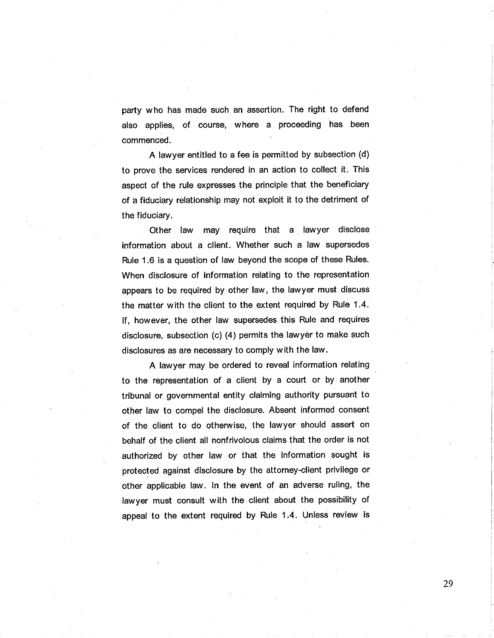party who has made such an assertion. The right to defend also applies, of course, where a proceeding has been commenced.

A lawyer entitled to a fee is permitted by subsection (d) to prove the services rendered in an action to collect it. This aspect of the rule expresses the principle that the beneficiary of â fiduciary relationship may not exploit it to the detriment of the fiduciary.

Other law may require that a lawyer disclose information about a client. Whether such a law supersedes Rule 1.6 is a question of law beyond the scope of these Rules. When disclosure of information relating to the representation appears to be required by other law, the lawyer must discuss the matter with the client to the extent required by Rule 1.4. lf, however, the other law supersedes this Rule and requires disclosure, subsection (c) (4) permits the lawyer to make such disclosures as are necessary to comply with the law.

A lawyer may be ordered to reveal information relating to the representation of a client by a court or by another tribunal or governmental entity claiming authority pursuant to other law to compel the disclosure. Absent informed consent of the client to do otherwise, the lawyer should assert on behalf of the client all nonfrivolous claims that the order is not authorized by other law or that the information sought is protected against disclosure by the attorney-client privilege or other applicable law. ln the event of an adverse ruling, the lawyer must consult with the client about the possibility of appeal to the extent required by Rule 1.4. Unless review is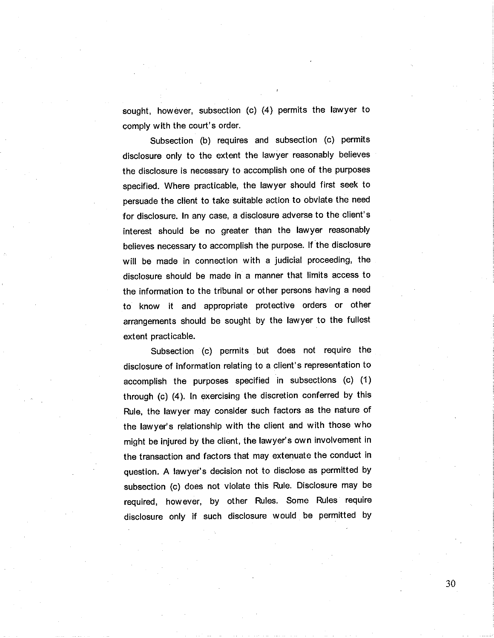sought, however, subsection (c) (4) permits the lawyer to comply with the court's order.

Subsection (b) requires and subsection (c) permits disclosure only to the extent the lawyer reasonably believes the disclosure is necessary to accomplish one of the purposes specified. Where practicable, the lawyer should first seek to persuade the client to take suitable action to obviate the need for disclosure. ln any case, a disclosure adverse to the client's interest should be no greater than the lawyer reasonably believes necessary to accomplish the purpose. lf the disclosure will be made in connection with a judicial proceeding, the disclosure should be made in a manner that limits access to the information to the tribunal or other persons having a need to know it and appropriate protective orders or other arrangements should be sought by the lawyer to the fullest extent practicable.

Subsection (c) permits but does not require the disclosure of information relating to a client's representation to accomplish the purposes specified in subsections (c) (1) through (c) (4). ln exercising the discretion conferred by this Rule, the lawyer may consider such factors as the nature of the lawyer's relationship with the client and with those who might be injured by the client, the lawyer's own involvement in the transaction and factors that may extenuate the conduct in question. A lawyer's decision not to disclose as permitted by subsection (c) does not violate this Rule. Disclosure may be required, however, by other Rules. Some Rules require disclosure only if such disclosure would be permitted by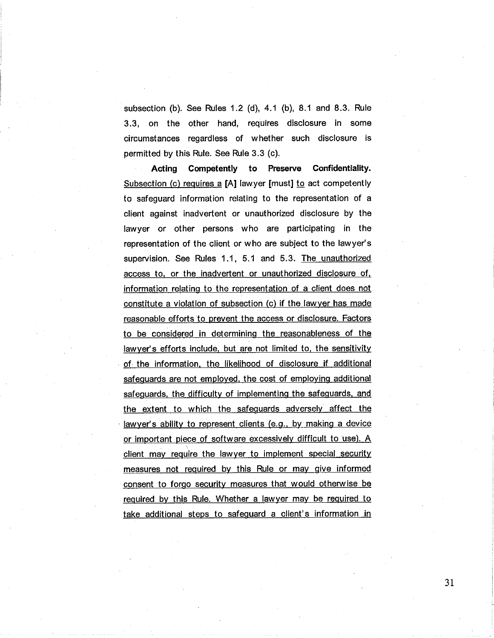subsection (b). See Rules  $1.2$  (d),  $4.1$  (b),  $8.1$  and  $8.3$ . Rule 3.3, on the other hand, requires disclosure in some circumstances regardless of whether such disclosure is permitted by this Rule. See Rule 3.3 (c).

Acting Competently to Preserve Confidentiality. Subsection (c) requires a  $[A]$  lawyer [must] to act competently to safeguard information relating to the representation of <sup>a</sup> client against inadvertent or unauthorized disclosure by the lawyer or other persons who are participating in the representation of the client or who are subject to the lawyer's supervision. See Rules 1.1, 5.1 and 5.3. The unauthorized access to, or the inadvertent or unauthorized disclosure of, information relating to the representation of a client does not constitute a violation of subsection (c) if the law yer has made reasonable efforts to prevent the access or disclosure. Factors to be considered in determininq the reasonableness of the lawyer's efforts include, but are not limited to, the sensitivity of the information. the likelihood of disclosure if additional safeguards are not employed, the cost of employing additional safeguards, the difficulty of implementing the safeguards, and the extent to which the safeguards adversely affect the lawyer's ability to represent clients (e.g., by making a device or important piece of software excessively difficult to use). A client may require the lawyer to implement special security measures not required by this Rule or may give informed consent to forqo security measures that would otherwise be required bv this Rule. Whether a lawyer mav be required to take additional steps to safeguard a client's information in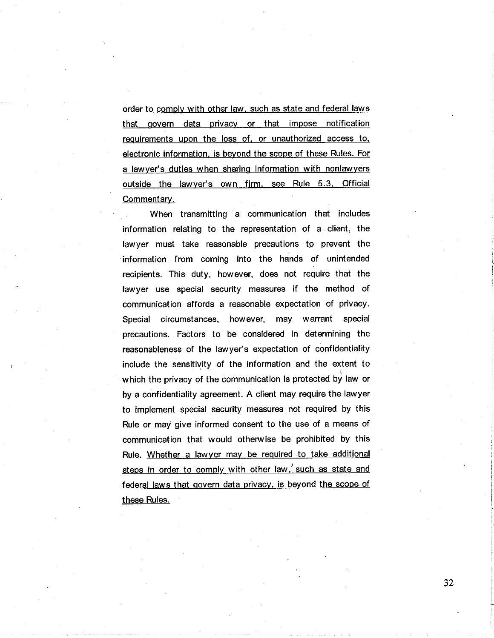order to comply with other law. such as state and federal laws that govern data privacy or that impose notification requirements upon the loss of, or unauthorized access to, electronic information, is beyond the scope of these Rules. For a lawyer's duties when sharing information with nonlawyers outside the lawyer's own firm. see Rule 5.3. Official Commentary.

When transmitting a communication that includes information relating to the representation of a client, the lawyer must take reasonable precautions to prevent the information from coming into the hands of unintended recipients. This duty, however, does not require that the lawyer use special security measures if the method of communication affords a reasonable expectation of privacy. Special circumstances, however, may warrant special precautions. Factors to be considered in determining the reasonableness of the lawyer's expectation of confidentiality include the sensitivity of the information and the extent to which the privacy of the communication is protected by law or by a confidentiality agreement. A client may require the lawyer to implement special security measures not required by this Rule or may give informed consent to the use of a means of communication that would otherwise be prohibited by this Rule. Whether a lawver mav be required to take additional steps in order to comply with other law, such as state and federal laws that govern data privacy, is beyond the scope of these Rules.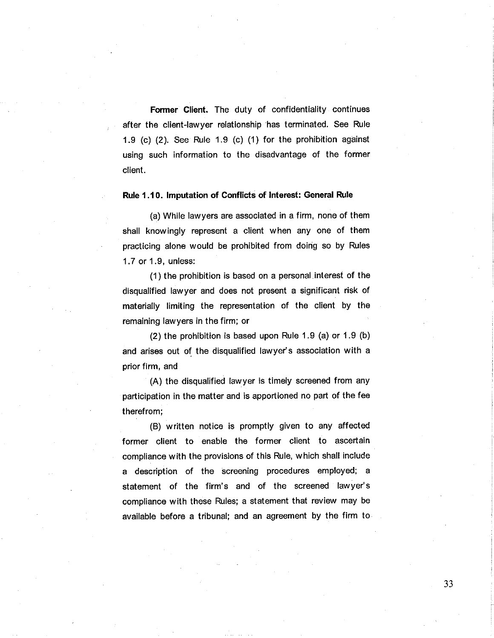Former Client. The duty of confidentiality continues after the client-lawyer relationship has terminated. See Rule 1.9 (c)  $(2)$ . See Rule 1.9  $(c)$   $(1)$  for the prohibition against using such information to the disadvantage of the former client.

Rule 1.10. lmputation of Conflícts of lnterest: General Rule

(a) While lawyers are associated in a firm, none of them shall knowingly represent a client when any one of them practicing alone would be prohibited from doing so by Rules 1.7 or 1 .9, unless:

(1) the prohibition is based on a personal interest of the disqualified lawyer and does not present a significant risk of materially limiting the representation of the client by the remaining lawyers in the firm; or

(2) the prohibition is based upon Rule 1.9 (a) or 1.9 (b) and arises out of the disqualified lawyer's association with a prior firm, and

(A) the disqualified lawyer is timely screened from any participation in the matter and is apportioned no part of the fee therefrom;

(B) written notice is promptly given to any affected former client to enable the former client to ascertain compliance w¡th the provisions of this Rule, which shall include a description of the screening procedures employed; <sup>a</sup> statement of the firm's and of the screened lawyer's compliance with these Rules; a statement that review may be available before a tribunal; and an agreement by the firm to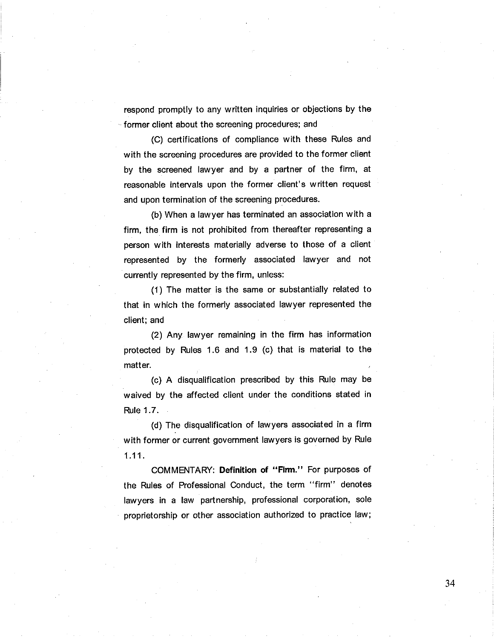respond promptly to any written inquiries or objections by the former client about the screening procedures; and

(C) certifications of compliance with these Rules and with the screening procedures are provided to the former client by the screened lawyer and by a partner of the firm, at reasonable intervals upon the former client's written request and upon termination of the screening procedures.

(b) When a lawyer has terminated an association with a firm, the firm is not prohibited from thereafter representing a person with interests materially adverse to those of a client represented by the formerly associated lawyer and not currently represented by the firm, unless:

(1) The matter is the same or substantially related to that in which the formerly associated lawyer represented the client; and

(2) Any lawyer remaining in the firm has information protected by Rules 1.6 and 1.9 (c) that ís material to the matter.

(c) A disqualification prescribed by this Rule may be waived by the affected client under the conditions stated in Rule 1 .7.

(d) The disqualification of lawyers associated in a firm with former or current government lawyers is governed by Rule 1.11.

COMMENTARY: Definition of "Firm." For purposes of the Rules of Professional Conduct, the term "firm" denotes lawyers in a law partnership, professional corporation, sole proprietorship or other association authorized to practice law;